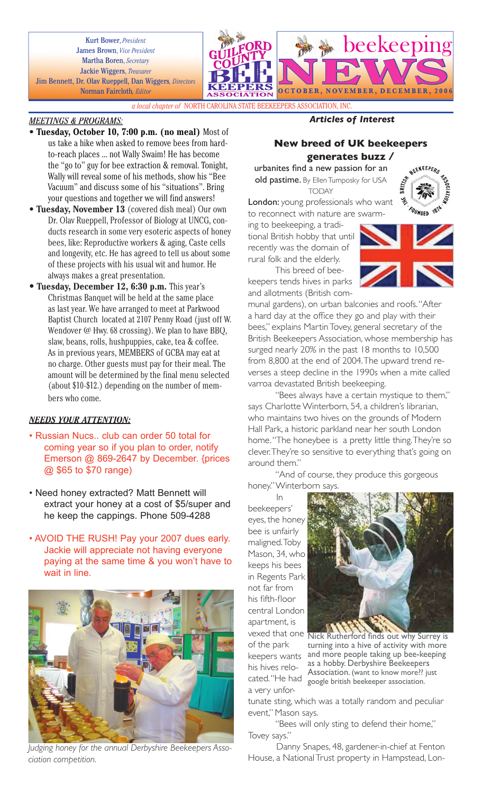Kurt Bower, *President* James Brown, *Vice President* Martha Boren, *Secretary* Jackie Wiggers, *Treasurer* Jim Bennett, Dr. Olav Rueppell, Dan Wiggers*, Directors* Norman Faircloth*, Editor*



*a local chapter of* NORTH CAROLINA STATE BEEKEEPERS ASSOCIATION, INC.

### *MEETINGS & PROGRAMS:*

- **Tuesday, October 10, 7:00 p.m. (no meal)** Most of us take a hike when asked to remove bees from hardto-reach places ... not Wally Swaim! He has become the "go to" guy for bee extraction & removal. Tonight, Wally will reveal some of his methods, show his "Bee Vacuum" and discuss some of his "situations". Bring your questions and together we will find answers!
- **Tuesday, November 13** (covered dish meal) Our own Dr. Olav Rueppell, Professor of Biology at UNCG, conducts research in some very esoteric aspects of honey bees, like: Reproductive workers & aging, Caste cells and longevity, etc. He has agreed to tell us about some of these projects with his usual wit and humor. He always makes a great presentation.
- **Tuesday, December 12, 6:30 p.m.** This year's Christmas Banquet will be held at the same place as last year. We have arranged to meet at Parkwood Baptist Church located at 2107 Penny Road (just off W. Wendover @ Hwy. 68 crossing). We plan to have BBQ, slaw, beans, rolls, hushpuppies, cake, tea & coffee. As in previous years, MEMBERS of GCBA may eat at no charge. Other guests must pay for their meal. The amount will be determined by the final menu selected (about \$10-\$12.) depending on the number of members who come.

### *NEEDS YOUR ATTENTION:*

- Russian Nucs.. club can order 50 total for coming year so if you plan to order, notify Emerson @ 869-2647 by December. {prices @ \$65 to \$70 range)
- Need honey extracted? Matt Bennett will extract your honey at a cost of \$5/super and he keep the cappings. Phone 509-4288
- AVOID THE RUSH! Pay your 2007 dues early. Jackie will appreciate not having everyone paying at the same time & you won't have to wait in line.



*Judging honey for the annual Derbyshire Beekeepers Association competition.*

# *Articles of Interest*

## **New breed of UK beekeepers generates buzz /**

urbanites find a new passion for an old pastime. By Ellen Tumposky for USA TODAY



London: young professionals who want to reconnect with nature are swarm-

ing to beekeeping, a traditional British hobby that until recently was the domain of rural folk and the elderly. This breed of bee-

keepers tends hives in parks and allotments (British com-

munal gardens), on urban balconies and roofs. "After a hard day at the office they go and play with their bees," explains Martin Tovey, general secretary of the British Beekeepers Association, whose membership has surged nearly 20% in the past 18 months to 10,500 from 8,800 at the end of 2004. The upward trend re-

verses a steep decline in the 1990s when a mite called varroa devastated British beekeeping. "Bees always have a certain mystique to them,"

says Charlotte Winterborn, 54, a children's librarian, who maintains two hives on the grounds of Modern Hall Park, a historic parkland near her south London home. "The honeybee is a pretty little thing. They're so clever. They're so sensitive to everything that's going on around them."

"And of course, they produce this gorgeous honey." Winterborn says.

In beekeepers' eyes, the honey bee is unfairly maligned. Toby Mason, 34, who keeps his bees in Regents Park not far from his fifth-floor central London apartment, is of the park keepers wants his hives relocated. "He had a very unfor-



vexed that one Nick Rutherford finds out why Surrey is turning into a hive of activity with more and more people taking up bee-keeping as a hobby. Derbyshire Beekeepers Association. (want to know more?? just google british beekeeper association.

tunate sting, which was a totally random and peculiar event," Mason says.

"Bees will only sting to defend their home," Tovey says."

Danny Snapes, 48, gardener-in-chief at Fenton House, a National Trust property in Hampstead, Lon